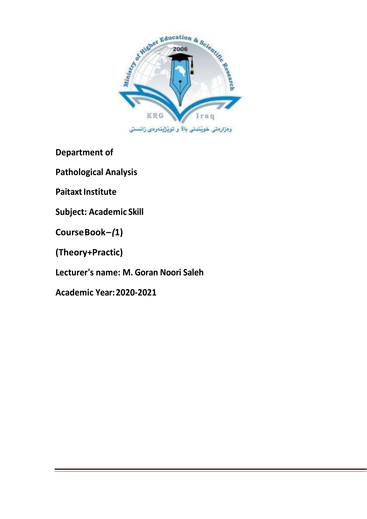

**Department of**

**Pathological Analysis**

**Paitaxt Institute** 

**Subject: Academic Skill**

**CourseBook–***(***1)**

**(Theory+Practic)**

**Lecturer's name: M. Goran Noori Saleh**

**Academic Year:2020-2021**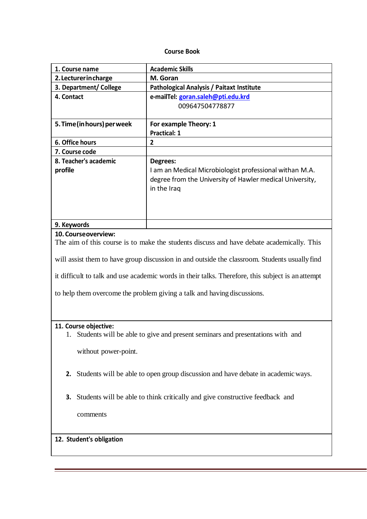### **Course Book**

| 1. Course name              | <b>Academic Skills</b>                                   |  |
|-----------------------------|----------------------------------------------------------|--|
| 2. Lecturer in charge       | M. Goran                                                 |  |
| 3. Department/ College      | Pathological Analysis / Paitaxt Institute                |  |
| 4. Contact                  | e-mailTel: goran.saleh@pti.edu.krd                       |  |
|                             | 009647504778877                                          |  |
|                             |                                                          |  |
| 5. Time (in hours) per week | For example Theory: 1                                    |  |
|                             | <b>Practical: 1</b>                                      |  |
| 6. Office hours             | 2                                                        |  |
| 7. Course code              |                                                          |  |
| 8. Teacher's academic       | Degrees:                                                 |  |
| profile                     | I am an Medical Microbiologist professional withan M.A.  |  |
|                             | degree from the University of Hawler medical University, |  |
|                             | in the Iraq                                              |  |
|                             |                                                          |  |
|                             |                                                          |  |
|                             |                                                          |  |
| 9. Keywords                 |                                                          |  |
|                             |                                                          |  |

#### **10. Courseoverview:**

The aim of this course is to make the students discuss and have debate academically. This

will assist them to have group discussion in and outside the classroom. Students usuallyfind

it difficult to talk and use academic words in their talks. Therefore, this subject is anattempt

to help them overcome the problem giving a talk and having discussions.

### **11. Course objective:**

1. Students will be able to give and present seminars and presentations with and

without power-point.

- **2.** Students will be able to open group discussion and have debate in academicways.
- **3.** Students will be able to think critically and give constructive feedback and

comments

# **4. 12. Student's obligation**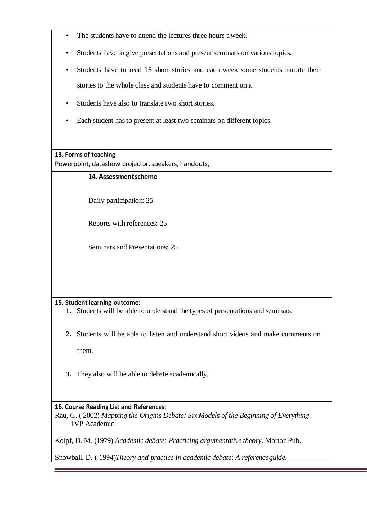- The students have to attend the lectures three hours aweek.
- Students have to give presentations and present seminars on various topics.
- Students have to read 15 short stories and each week some students narrate their stories to the whole class and students have to comment on it.
- Students have also to translate two short stories.
- Each student has to present at least two seminars on different topics.

**13. Forms of teaching** Powerpoint, datashow projector, speakers, handouts,

## **14. Assessmentscheme**

Daily participation: 25

Reports with references: 25

Seminars and Presentations: 25

## **15. Student learning outcome:**

**1.** Students will be able to understand the types of presentations and seminars.

**2.** Students will be able to listen and understand short videos and make comments on them.

**3.** They also will be able to debate academically.

# **16. Course Reading List and References:**

Rau, G. ( 2002) *Mapping the Origins Debate: Six Models of the Beginning of Everything*. IVP Academic.

Kolpf, D. M. (1979) *Academic debate: Practicing argumentative theory*. Morton Pub.

Snowball, D. ( 1994)*Theory and practice in academic debate: A referenceguide.*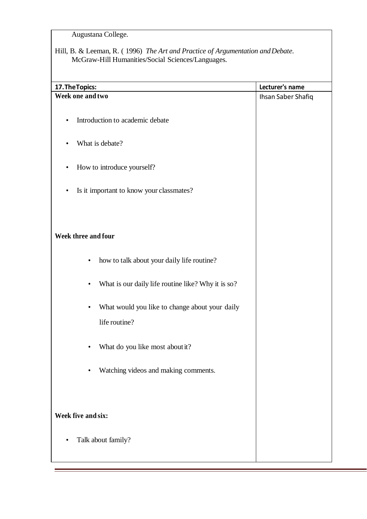Augustana College.

Hill, B. & Leeman, R. ( 1996) *The Art and Practice of Argumentation andDebate*. McGraw-Hill Humanities/Social Sciences/Languages.

| 17. The Topics:                                                 | Lecturer's name    |
|-----------------------------------------------------------------|--------------------|
| Week one and two                                                | Ihsan Saber Shafiq |
| Introduction to academic debate<br>$\bullet$                    |                    |
| What is debate?<br>$\bullet$                                    |                    |
| How to introduce yourself?<br>٠                                 |                    |
| Is it important to know your classmates?<br>٠                   |                    |
|                                                                 |                    |
| Week three and four                                             |                    |
| how to talk about your daily life routine?<br>$\bullet$         |                    |
| What is our daily life routine like? Why it is so?<br>$\bullet$ |                    |
| What would you like to change about your daily<br>$\bullet$     |                    |
| life routine?                                                   |                    |
| What do you like most about it?<br>$\bullet$                    |                    |
| Watching videos and making comments.                            |                    |
|                                                                 |                    |
| Week five and six:                                              |                    |
| Talk about family?                                              |                    |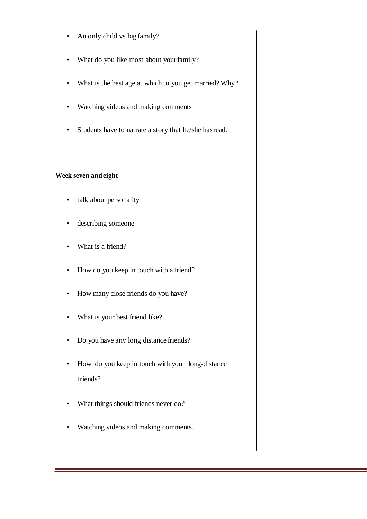| $\bullet$ | An only child vs big family?                           |  |
|-----------|--------------------------------------------------------|--|
| ٠         | What do you like most about your family?               |  |
| ٠         | What is the best age at which to you get married? Why? |  |
| ٠         | Watching videos and making comments                    |  |
| ٠         | Students have to narrate a story that he/she has read. |  |
|           |                                                        |  |
|           | Week seven and eight                                   |  |
| ٠         | talk about personality                                 |  |
|           | describing someone                                     |  |
|           | What is a friend?                                      |  |
| ٠         | How do you keep in touch with a friend?                |  |
| ٠         | How many close friends do you have?                    |  |
|           | What is your best friend like?                         |  |
| ٠         | Do you have any long distance friends?                 |  |
| ٠         | How do you keep in touch with your long-distance       |  |
|           | friends?                                               |  |
|           | What things should friends never do?                   |  |
| ٠         | Watching videos and making comments.                   |  |
|           |                                                        |  |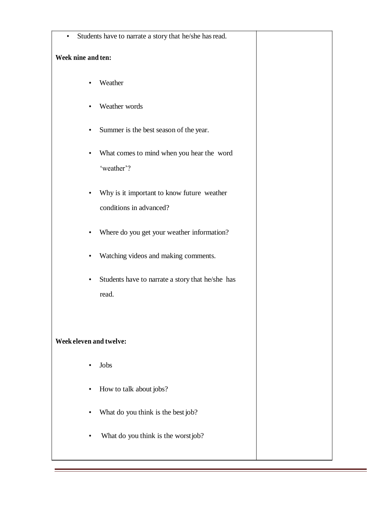| $\bullet$               | Students have to narrate a story that he/she has read.                |  |
|-------------------------|-----------------------------------------------------------------------|--|
| Week nine and ten:      |                                                                       |  |
| $\bullet$               | Weather                                                               |  |
|                         | Weather words                                                         |  |
| ٠                       | Summer is the best season of the year.                                |  |
| $\bullet$               | What comes to mind when you hear the word<br>'weather'?               |  |
| $\bullet$               | Why is it important to know future weather<br>conditions in advanced? |  |
| ٠                       | Where do you get your weather information?                            |  |
| $\bullet$               | Watching videos and making comments.                                  |  |
| $\bullet$               | Students have to narrate a story that he/she has<br>read.             |  |
|                         |                                                                       |  |
| Week eleven and twelve: |                                                                       |  |
| $\bullet$               | Jobs                                                                  |  |
| $\bullet$               | How to talk about jobs?                                               |  |
|                         | What do you think is the best job?                                    |  |
|                         | What do you think is the worst job?                                   |  |

**Contract Contract Contract**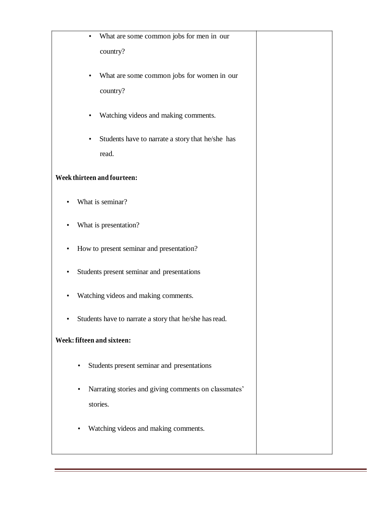| What are some common jobs for men in our<br>$\bullet$<br>country?<br>What are some common jobs for women in our<br>٠<br>country?<br>Watching videos and making comments.<br>$\bullet$<br>Students have to narrate a story that he/she has<br>$\bullet$<br>read.<br>Week thirteen and fourteen:<br>What is seminar?<br>٠<br>What is presentation?<br>٠<br>How to present seminar and presentation?<br>$\bullet$<br>Students present seminar and presentations<br>$\bullet$<br>Watching videos and making comments.<br>Students have to narrate a story that he/she has read.<br>$\bullet$<br>Week: fifteen and sixteen:<br>Students present seminar and presentations<br>$\bullet$<br>Narrating stories and giving comments on classmates'<br>٠<br>stories.<br>Watching videos and making comments.<br>$\bullet$ |  |
|-----------------------------------------------------------------------------------------------------------------------------------------------------------------------------------------------------------------------------------------------------------------------------------------------------------------------------------------------------------------------------------------------------------------------------------------------------------------------------------------------------------------------------------------------------------------------------------------------------------------------------------------------------------------------------------------------------------------------------------------------------------------------------------------------------------------|--|
|                                                                                                                                                                                                                                                                                                                                                                                                                                                                                                                                                                                                                                                                                                                                                                                                                 |  |
|                                                                                                                                                                                                                                                                                                                                                                                                                                                                                                                                                                                                                                                                                                                                                                                                                 |  |
|                                                                                                                                                                                                                                                                                                                                                                                                                                                                                                                                                                                                                                                                                                                                                                                                                 |  |
|                                                                                                                                                                                                                                                                                                                                                                                                                                                                                                                                                                                                                                                                                                                                                                                                                 |  |
|                                                                                                                                                                                                                                                                                                                                                                                                                                                                                                                                                                                                                                                                                                                                                                                                                 |  |
|                                                                                                                                                                                                                                                                                                                                                                                                                                                                                                                                                                                                                                                                                                                                                                                                                 |  |
|                                                                                                                                                                                                                                                                                                                                                                                                                                                                                                                                                                                                                                                                                                                                                                                                                 |  |
|                                                                                                                                                                                                                                                                                                                                                                                                                                                                                                                                                                                                                                                                                                                                                                                                                 |  |
|                                                                                                                                                                                                                                                                                                                                                                                                                                                                                                                                                                                                                                                                                                                                                                                                                 |  |
|                                                                                                                                                                                                                                                                                                                                                                                                                                                                                                                                                                                                                                                                                                                                                                                                                 |  |
|                                                                                                                                                                                                                                                                                                                                                                                                                                                                                                                                                                                                                                                                                                                                                                                                                 |  |
|                                                                                                                                                                                                                                                                                                                                                                                                                                                                                                                                                                                                                                                                                                                                                                                                                 |  |
|                                                                                                                                                                                                                                                                                                                                                                                                                                                                                                                                                                                                                                                                                                                                                                                                                 |  |
|                                                                                                                                                                                                                                                                                                                                                                                                                                                                                                                                                                                                                                                                                                                                                                                                                 |  |
|                                                                                                                                                                                                                                                                                                                                                                                                                                                                                                                                                                                                                                                                                                                                                                                                                 |  |
|                                                                                                                                                                                                                                                                                                                                                                                                                                                                                                                                                                                                                                                                                                                                                                                                                 |  |
|                                                                                                                                                                                                                                                                                                                                                                                                                                                                                                                                                                                                                                                                                                                                                                                                                 |  |
|                                                                                                                                                                                                                                                                                                                                                                                                                                                                                                                                                                                                                                                                                                                                                                                                                 |  |
|                                                                                                                                                                                                                                                                                                                                                                                                                                                                                                                                                                                                                                                                                                                                                                                                                 |  |
|                                                                                                                                                                                                                                                                                                                                                                                                                                                                                                                                                                                                                                                                                                                                                                                                                 |  |
|                                                                                                                                                                                                                                                                                                                                                                                                                                                                                                                                                                                                                                                                                                                                                                                                                 |  |
|                                                                                                                                                                                                                                                                                                                                                                                                                                                                                                                                                                                                                                                                                                                                                                                                                 |  |
|                                                                                                                                                                                                                                                                                                                                                                                                                                                                                                                                                                                                                                                                                                                                                                                                                 |  |
|                                                                                                                                                                                                                                                                                                                                                                                                                                                                                                                                                                                                                                                                                                                                                                                                                 |  |
|                                                                                                                                                                                                                                                                                                                                                                                                                                                                                                                                                                                                                                                                                                                                                                                                                 |  |
|                                                                                                                                                                                                                                                                                                                                                                                                                                                                                                                                                                                                                                                                                                                                                                                                                 |  |
|                                                                                                                                                                                                                                                                                                                                                                                                                                                                                                                                                                                                                                                                                                                                                                                                                 |  |
|                                                                                                                                                                                                                                                                                                                                                                                                                                                                                                                                                                                                                                                                                                                                                                                                                 |  |
|                                                                                                                                                                                                                                                                                                                                                                                                                                                                                                                                                                                                                                                                                                                                                                                                                 |  |
|                                                                                                                                                                                                                                                                                                                                                                                                                                                                                                                                                                                                                                                                                                                                                                                                                 |  |
|                                                                                                                                                                                                                                                                                                                                                                                                                                                                                                                                                                                                                                                                                                                                                                                                                 |  |
|                                                                                                                                                                                                                                                                                                                                                                                                                                                                                                                                                                                                                                                                                                                                                                                                                 |  |
|                                                                                                                                                                                                                                                                                                                                                                                                                                                                                                                                                                                                                                                                                                                                                                                                                 |  |
|                                                                                                                                                                                                                                                                                                                                                                                                                                                                                                                                                                                                                                                                                                                                                                                                                 |  |
|                                                                                                                                                                                                                                                                                                                                                                                                                                                                                                                                                                                                                                                                                                                                                                                                                 |  |
|                                                                                                                                                                                                                                                                                                                                                                                                                                                                                                                                                                                                                                                                                                                                                                                                                 |  |
|                                                                                                                                                                                                                                                                                                                                                                                                                                                                                                                                                                                                                                                                                                                                                                                                                 |  |
|                                                                                                                                                                                                                                                                                                                                                                                                                                                                                                                                                                                                                                                                                                                                                                                                                 |  |
|                                                                                                                                                                                                                                                                                                                                                                                                                                                                                                                                                                                                                                                                                                                                                                                                                 |  |
|                                                                                                                                                                                                                                                                                                                                                                                                                                                                                                                                                                                                                                                                                                                                                                                                                 |  |

**Contract Contract Contract**